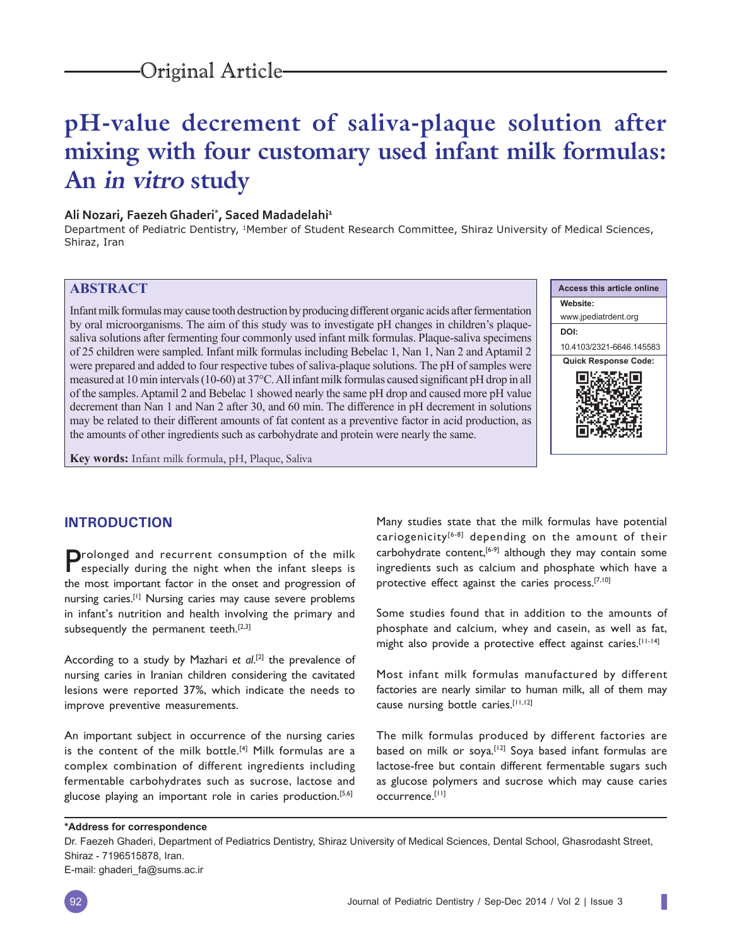# **pH-value decrement of saliva-plaque solution after mixing with four customary used infant milk formulas: An in vitro study**

## **Ali Nozari, Faezeh Ghaderi\* , Saced Madadelahi1**

Department of Pediatric Dentistry, 1Member of Student Research Committee, Shiraz University of Medical Sciences, Shiraz, Iran

## **ABSTRACT**

Infant milk formulas may cause tooth destruction by producing different organic acids after fermentation by oral microorganisms. The aim of this study was to investigate pH changes in children's plaquesaliva solutions after fermenting four commonly used infant milk formulas. Plaque-saliva specimens of 25 children were sampled. Infant milk formulas including Bebelac 1, Nan 1, Nan 2 and Aptamil 2 were prepared and added to four respective tubes of saliva-plaque solutions. The pH of samples were measured at 10 min intervals (10-60) at 37°C. All infant milk formulas caused significant pH drop in all of the samples. Aptamil 2 and Bebelac 1 showed nearly the same pH drop and caused more pH value decrement than Nan 1 and Nan 2 after 30, and 60 min. The difference in pH decrement in solutions may be related to their different amounts of fat content as a preventive factor in acid production, as the amounts of other ingredients such as carbohydrate and protein were nearly the same.



**Key words:** Infant milk formula, pH, Plaque, Saliva

## **INTRODUCTION**

**Prolonged and recurrent consumption of the milk** especially during the night when the infant sleeps is the most important factor in the onset and progression of nursing caries.[1] Nursing caries may cause severe problems in infant's nutrition and health involving the primary and subsequently the permanent teeth.<sup>[2,3]</sup>

According to a study by Mazhari *et al*. [2] the prevalence of nursing caries in Iranian children considering the cavitated lesions were reported 37%, which indicate the needs to improve preventive measurements.

An important subject in occurrence of the nursing caries is the content of the milk bottle.<sup>[4]</sup> Milk formulas are a complex combination of different ingredients including fermentable carbohydrates such as sucrose, lactose and glucose playing an important role in caries production.[5,6]

Many studies state that the milk formulas have potential cariogenicity<sup>[6-8]</sup> depending on the amount of their carbohydrate content,<sup>[6-9]</sup> although they may contain some ingredients such as calcium and phosphate which have a protective effect against the caries process.<sup>[7,10]</sup>

Some studies found that in addition to the amounts of phosphate and calcium, whey and casein, as well as fat, might also provide a protective effect against caries.<sup>[11-14]</sup>

Most infant milk formulas manufactured by different factories are nearly similar to human milk, all of them may cause nursing bottle caries.[11,12]

The milk formulas produced by different factories are based on milk or soya.<sup>[12]</sup> Soya based infant formulas are lactose-free but contain different fermentable sugars such as glucose polymers and sucrose which may cause caries occurrence.[11]

#### **\*Address for correspondence**

Dr. Faezeh Ghaderi, Department of Pediatrics Dentistry, Shiraz University of Medical Sciences, Dental School, Ghasrodasht Street, Shiraz - 7196515878, Iran.

E-mail: ghaderi\_fa@sums.ac.ir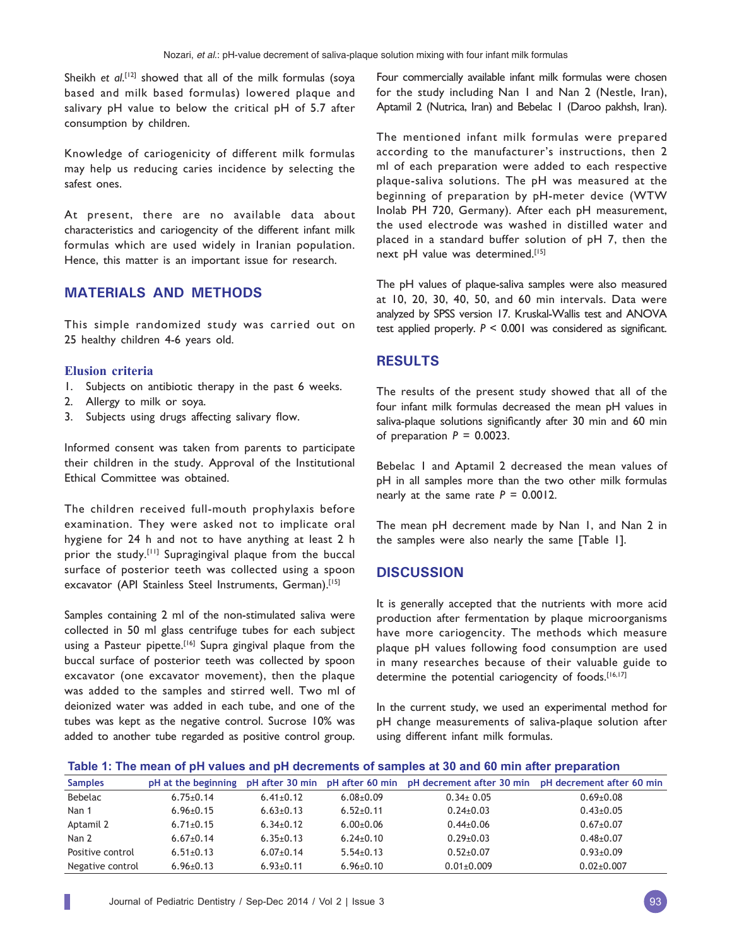Sheikh *et al*. [12] showed that all of the milk formulas (soya based and milk based formulas) lowered plaque and salivary pH value to below the critical pH of 5.7 after consumption by children.

Knowledge of cariogenicity of different milk formulas may help us reducing caries incidence by selecting the safest ones.

At present, there are no available data about characteristics and cariogencity of the different infant milk formulas which are used widely in Iranian population. Hence, this matter is an important issue for research.

## **MATERIALS AND METHODS**

This simple randomized study was carried out on 25 healthy children 4-6 years old.

#### **Elusion criteria**

- 1. Subjects on antibiotic therapy in the past 6 weeks.
- 2. Allergy to milk or soya.
- 3. Subjects using drugs affecting salivary flow.

Informed consent was taken from parents to participate their children in the study. Approval of the Institutional Ethical Committee was obtained.

The children received full-mouth prophylaxis before examination. They were asked not to implicate oral hygiene for 24 h and not to have anything at least 2 h prior the study.[11] Supragingival plaque from the buccal surface of posterior teeth was collected using a spoon excavator (API Stainless Steel Instruments, German).<sup>[15]</sup>

Samples containing 2 ml of the non-stimulated saliva were collected in 50 ml glass centrifuge tubes for each subject using a Pasteur pipette.<sup>[16]</sup> Supra gingival plaque from the buccal surface of posterior teeth was collected by spoon excavator (one excavator movement), then the plaque was added to the samples and stirred well. Two ml of deionized water was added in each tube, and one of the tubes was kept as the negative control. Sucrose 10% was added to another tube regarded as positive control group.

Four commercially available infant milk formulas were chosen for the study including Nan 1 and Nan 2 (Nestle, Iran), Aptamil 2 (Nutrica, Iran) and Bebelac I (Daroo pakhsh, Iran).

The mentioned infant milk formulas were prepared according to the manufacturer's instructions, then 2 ml of each preparation were added to each respective plaque-saliva solutions. The pH was measured at the beginning of preparation by pH-meter device (WTW Inolab PH 720, Germany). After each pH measurement, the used electrode was washed in distilled water and placed in a standard buffer solution of pH 7, then the next pH value was determined.[15]

The pH values of plaque-saliva samples were also measured at 10, 20, 30, 40, 50, and 60 min intervals. Data were analyzed by SPSS version 17. Kruskal-Wallis test and ANOVA test applied properly.  $P < 0.001$  was considered as significant.

## **RESULTS**

The results of the present study showed that all of the four infant milk formulas decreased the mean pH values in saliva-plaque solutions significantly after 30 min and 60 min of preparation  $P = 0.0023$ .

Bebelac 1 and Aptamil 2 decreased the mean values of pH in all samples more than the two other milk formulas nearly at the same rate  $P = 0.0012$ .

The mean pH decrement made by Nan 1, and Nan 2 in the samples were also nearly the same [Table 1].

## **DISCUSSION**

It is generally accepted that the nutrients with more acid production after fermentation by plaque microorganisms have more cariogencity. The methods which measure plaque pH values following food consumption are used in many researches because of their valuable guide to determine the potential cariogencity of foods.<sup>[16,17]</sup>

In the current study, we used an experimental method for pH change measurements of saliva-plaque solution after using different infant milk formulas.

#### **Table 1: The mean of pH values and pH decrements of samples at 30 and 60 min after preparation**

| <b>Samples</b>   | pH at the beginning |                 |                 | pH after 30 min pH after 60 min pH decrement after 30 min pH decrement after 60 min |                  |
|------------------|---------------------|-----------------|-----------------|-------------------------------------------------------------------------------------|------------------|
| Bebelac          | $6.75 \pm 0.14$     | $6.41 \pm 0.12$ | $6.08 + 0.09$   | $0.34 \pm 0.05$                                                                     | $0.69 \pm 0.08$  |
| Nan 1            | $6.96 \pm 0.15$     | $6.63 \pm 0.13$ | $6.52+0.11$     | $0.24 \pm 0.03$                                                                     | $0.43 \pm 0.05$  |
| Aptamil 2        | $6.71 \pm 0.15$     | $6.34 \pm 0.12$ | $6.00+0.06$     | $0.44 \pm 0.06$                                                                     | $0.67+0.07$      |
| Nan 2            | $6.67+0.14$         | $6.35 \pm 0.13$ | $6.24 \pm 0.10$ | $0.29 \pm 0.03$                                                                     | $0.48 \pm 0.07$  |
| Positive control | $6.51 \pm 0.13$     | $6.07+0.14$     | $5.54 \pm 0.13$ | $0.52 \pm 0.07$                                                                     | $0.93 \pm 0.09$  |
| Negative control | $6.96 \pm 0.13$     | $6.93 \pm 0.11$ | $6.96 \pm 0.10$ | $0.01 \pm 0.009$                                                                    | $0.02 \pm 0.007$ |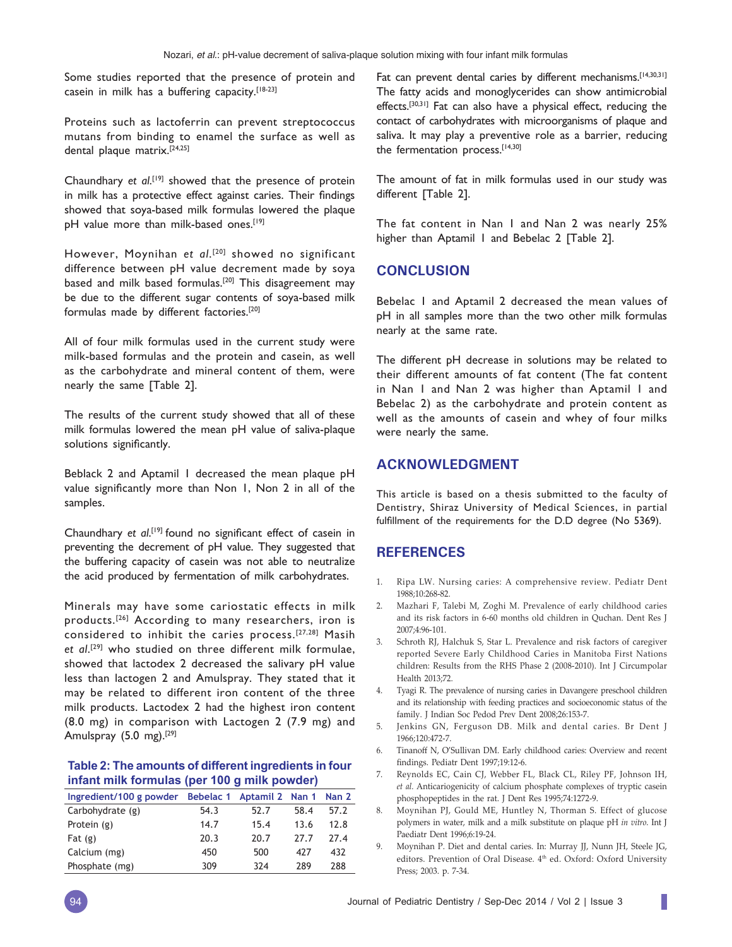Some studies reported that the presence of protein and casein in milk has a buffering capacity.[18-23]

Proteins such as lactoferrin can prevent streptococcus mutans from binding to enamel the surface as well as dental plaque matrix.[24,25]

Chaundhary *et al*. [19] showed that the presence of protein in milk has a protective effect against caries. Their findings showed that soya-based milk formulas lowered the plaque pH value more than milk-based ones.<sup>[19]</sup>

However, Moynihan *et al*. [20] showed no significant difference between pH value decrement made by soya based and milk based formulas.<sup>[20]</sup> This disagreement may be due to the different sugar contents of soya-based milk formulas made by different factories.[20]

All of four milk formulas used in the current study were milk-based formulas and the protein and casein, as well as the carbohydrate and mineral content of them, were nearly the same [Table 2].

The results of the current study showed that all of these milk formulas lowered the mean pH value of saliva-plaque solutions significantly.

Beblack 2 and Aptamil 1 decreased the mean plaque pH value significantly more than Non 1, Non 2 in all of the samples.

Chaundhary et al.<sup>[19]</sup> found no significant effect of casein in preventing the decrement of pH value. They suggested that the buffering capacity of casein was not able to neutralize the acid produced by fermentation of milk carbohydrates.

Minerals may have some cariostatic effects in milk products.[26] According to many researchers, iron is considered to inhibit the caries process.[27,28] Masih *et al*. [29] who studied on three different milk formulae, showed that lactodex 2 decreased the salivary pH value less than lactogen 2 and Amulspray. They stated that it may be related to different iron content of the three milk products. Lactodex 2 had the highest iron content (8.0 mg) in comparison with Lactogen 2 (7.9 mg) and Amulspray (5.0 mg).[29]

#### **Table 2: The amounts of different ingredients in four infant milk formulas (per 100 g milk powder)**

| Ingredient/100 g powder Bebelac 1 Aptamil 2 Nan 1 |      |      |      | Nan 2 |
|---------------------------------------------------|------|------|------|-------|
| Carbohydrate (g)                                  | 54.3 | 52.7 | 58.4 | 57.2  |
| Protein (g)                                       | 14.7 | 15.4 | 13.6 | 12.8  |
| Fat $(g)$                                         | 20.3 | 20.7 | 27.7 | 77.4  |
| Calcium (mg)                                      | 450  | 500  | 477  | 432   |
| Phosphate (mg)                                    | 309  | 324  | 289  | 288   |

Fat can prevent dental caries by different mechanisms.<sup>[14,30,31]</sup> The fatty acids and monoglycerides can show antimicrobial effects.<sup>[30,31]</sup> Fat can also have a physical effect, reducing the contact of carbohydrates with microorganisms of plaque and saliva. It may play a preventive role as a barrier, reducing the fermentation process.<sup>[14,30]</sup>

The amount of fat in milk formulas used in our study was different [Table 2].

The fat content in Nan 1 and Nan 2 was nearly 25% higher than Aptamil I and Bebelac 2 [Table 2].

## **CONCLUSION**

Bebelac 1 and Aptamil 2 decreased the mean values of pH in all samples more than the two other milk formulas nearly at the same rate.

The different pH decrease in solutions may be related to their different amounts of fat content (The fat content in Nan 1 and Nan 2 was higher than Aptamil 1 and Bebelac 2) as the carbohydrate and protein content as well as the amounts of casein and whey of four milks were nearly the same.

## **ACKNOWLEDGMENT**

This article is based on a thesis submitted to the faculty of Dentistry, Shiraz University of Medical Sciences, in partial fulfillment of the requirements for the D.D degree (No 5369).

## **REFERENCES**

- 1. Ripa LW. Nursing caries: A comprehensive review. Pediatr Dent 1988;10:268-82.
- 2. Mazhari F, Talebi M, Zoghi M. Prevalence of early childhood caries and its risk factors in 6-60 months old children in Quchan. Dent Res J 2007;4:96-101.
- 3. Schroth RJ, Halchuk S, Star L. Prevalence and risk factors of caregiver reported Severe Early Childhood Caries in Manitoba First Nations children: Results from the RHS Phase 2 (2008-2010). Int J Circumpolar Health 2013;72.
- 4. Tyagi R. The prevalence of nursing caries in Davangere preschool children and its relationship with feeding practices and socioeconomic status of the family. J Indian Soc Pedod Prev Dent 2008;26:153-7.
- 5. Jenkins GN, Ferguson DB. Milk and dental caries. Br Dent J 1966;120:472-7.
- 6. Tinanoff N, O'Sullivan DM. Early childhood caries: Overview and recent fi ndings. Pediatr Dent 1997;19:12-6.
- 7. Reynolds EC, Cain CJ, Webber FL, Black CL, Riley PF, Johnson IH, *et al.* Anticariogenicity of calcium phosphate complexes of tryptic casein phosphopeptides in the rat. J Dent Res 1995;74:1272-9.
- 8. Moynihan PJ, Gould ME, Huntley N, Thorman S. Effect of glucose polymers in water, milk and a milk substitute on plaque pH *in vitro*. Int J Paediatr Dent 1996;6:19-24.
- 9. Moynihan P. Diet and dental caries. In: Murray JJ, Nunn JH, Steele JG, editors. Prevention of Oral Disease. 4<sup>th</sup> ed. Oxford: Oxford University Press; 2003. p. 7-34.